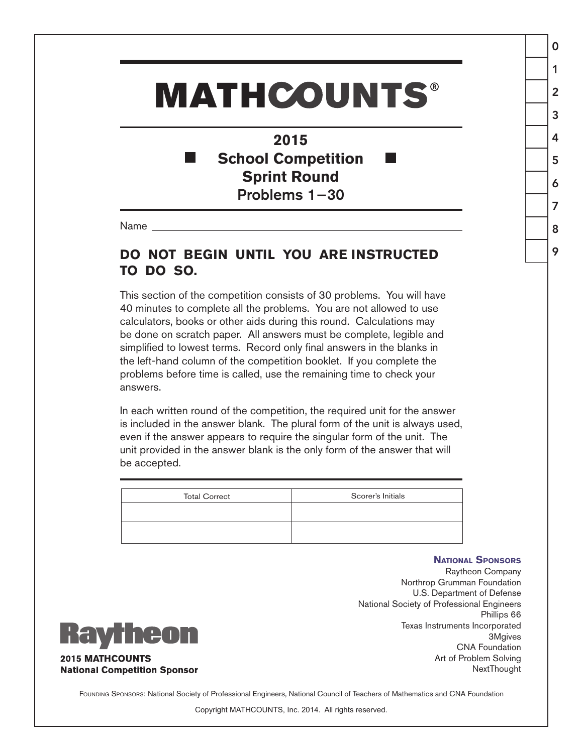## **MATHCOUNTS®**

**2015 School Competition** × **Sprint Round** Problems 1−30

Name

eon

**2015 MATHCOUNTS** 

**National Competition Sponsor** 

## **DO NOT BEGIN UNTIL YOU ARE INSTRUCTED TO DO SO.**

This section of the competition consists of 30 problems. You will have 40 minutes to complete all the problems. You are not allowed to use calculators, books or other aids during this round. Calculations may be done on scratch paper. All answers must be complete, legible and simplified to lowest terms. Record only final answers in the blanks in the left-hand column of the competition booklet. If you complete the problems before time is called, use the remaining time to check your answers.

In each written round of the competition, the required unit for the answer is included in the answer blank. The plural form of the unit is always used, even if the answer appears to require the singular form of the unit. The unit provided in the answer blank is the only form of the answer that will be accepted.

| <b>Total Correct</b> | Scorer's Initials |
|----------------------|-------------------|
|                      |                   |
|                      |                   |

## **National Sponsors**

0

1

2

3

4

5

6

7

8

9



Raytheon Company Northrop Grumman Foundation U.S. Department of Defense National Society of Professional Engineers Phillips 66 Texas Instruments Incorporated 3Mgives CNA Foundation Art of Problem Solving NextThought

FOUNDING SPONSORS: National Society of Professional Engineers, National Council of Teachers of Mathematics and CNA Foundation

Copyright MATHCOUNTS, Inc. 2014. All rights reserved.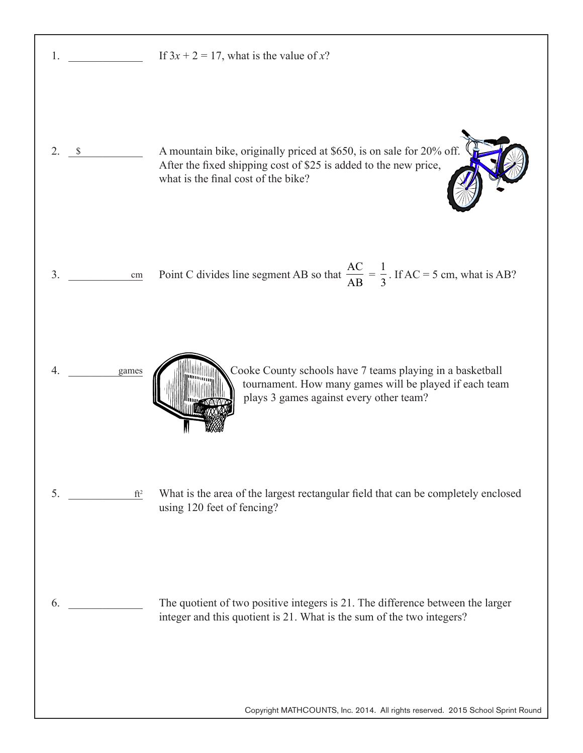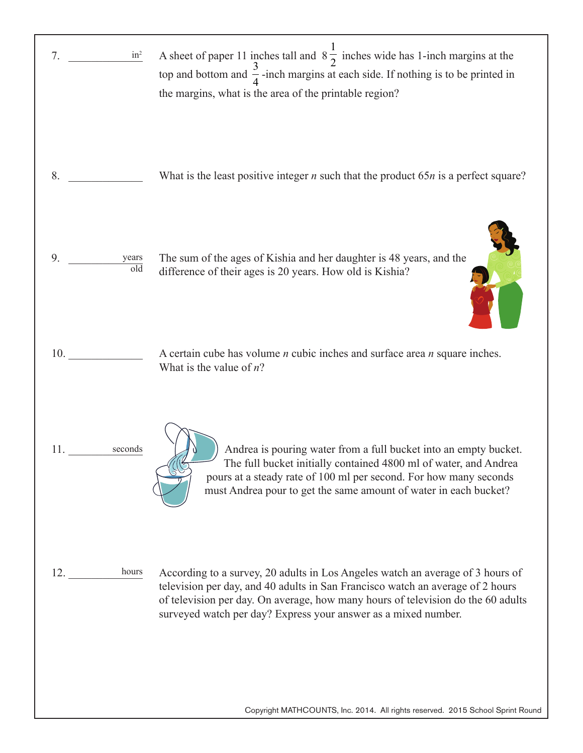| $in^2$<br>7.                           | A sheet of paper 11 inches tall and $8\frac{1}{2}$ inches wide has 1-inch margins at the<br>top and bottom and $\frac{3}{4}$ -inch margins at each side. If nothing is to be printed in<br>the margins, what is the area of the printable region?                                                                      |
|----------------------------------------|------------------------------------------------------------------------------------------------------------------------------------------------------------------------------------------------------------------------------------------------------------------------------------------------------------------------|
| 8.                                     | What is the least positive integer $n$ such that the product 65 $n$ is a perfect square?                                                                                                                                                                                                                               |
| 9.<br>years<br>$\overline{\text{old}}$ | The sum of the ages of Kishia and her daughter is 48 years, and the<br>difference of their ages is 20 years. How old is Kishia?                                                                                                                                                                                        |
| 10.                                    | A certain cube has volume $n$ cubic inches and surface area $n$ square inches.<br>What is the value of $n$ ?                                                                                                                                                                                                           |
| 11.<br>seconds                         | Andrea is pouring water from a full bucket into an empty bucket.<br>The full bucket initially contained 4800 ml of water, and Andrea<br>pours at a steady rate of 100 ml per second. For how many seconds<br>must Andrea pour to get the same amount of water in each bucket?                                          |
| hours<br>12.                           | According to a survey, 20 adults in Los Angeles watch an average of 3 hours of<br>television per day, and 40 adults in San Francisco watch an average of 2 hours<br>of television per day. On average, how many hours of television do the 60 adults<br>surveyed watch per day? Express your answer as a mixed number. |

Copyright MATHCOUNTS, Inc. 2014. All rights reserved. 2015 School Sprint Round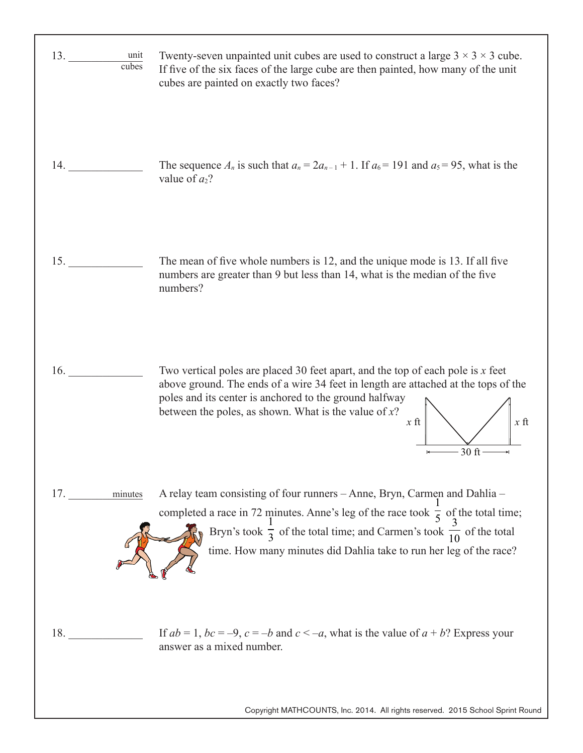| 13.<br>unit<br>$\overline{\text{cubes}}$ | Twenty-seven unpainted unit cubes are used to construct a large $3 \times 3 \times 3$ cube.<br>If five of the six faces of the large cube are then painted, how many of the unit<br>cubes are painted on exactly two faces?                                                                                                                   |
|------------------------------------------|-----------------------------------------------------------------------------------------------------------------------------------------------------------------------------------------------------------------------------------------------------------------------------------------------------------------------------------------------|
| 14.                                      | The sequence $A_n$ is such that $a_n = 2a_{n-1} + 1$ . If $a_6 = 191$ and $a_5 = 95$ , what is the<br>value of $a_2$ ?                                                                                                                                                                                                                        |
| 15.                                      | The mean of five whole numbers is 12, and the unique mode is 13. If all five<br>numbers are greater than 9 but less than 14, what is the median of the five<br>numbers?                                                                                                                                                                       |
| 16.                                      | Two vertical poles are placed 30 feet apart, and the top of each pole is $x$ feet<br>above ground. The ends of a wire 34 feet in length are attached at the tops of the<br>poles and its center is anchored to the ground halfway<br>between the poles, as shown. What is the value of $x$ ?<br>$x$ ft<br>$x$ ft<br>30 ft                     |
| 17.<br>minutes                           | A relay team consisting of four runners - Anne, Bryn, Carmen and Dahlia -<br>completed a race in 72 minutes. Anne's leg of the race took $\frac{1}{5}$ of the total time;<br>Bryn's took $\frac{1}{3}$ of the total time; and Carmen's took $\frac{3}{10}$ of the total<br>time. How many minutes did Dahlia take to run her leg of the race? |
| 18.                                      | If $ab = 1$ , $bc = -9$ , $c = -b$ and $c < -a$ , what is the value of $a + b$ ? Express your<br>answer as a mixed number.                                                                                                                                                                                                                    |

Copyright MATHCOUNTS, Inc. 2014. All rights reserved. 2015 School Sprint Round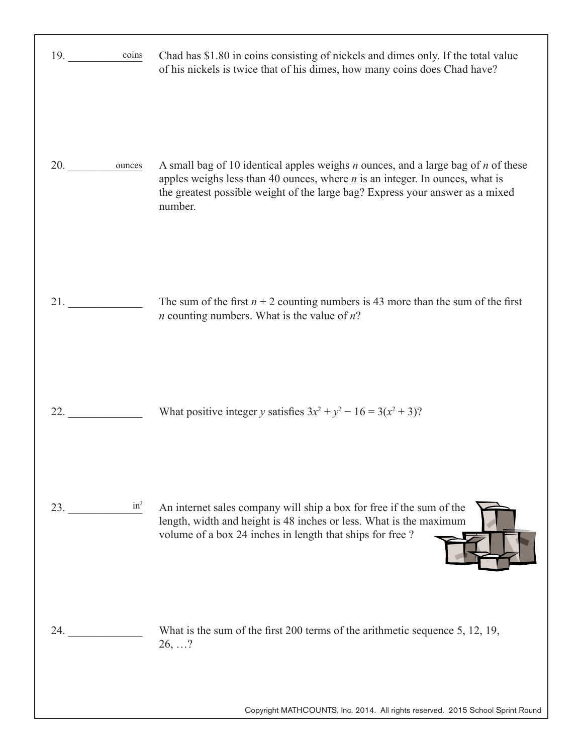| 19.<br>coins  | Chad has \$1.80 in coins consisting of nickels and dimes only. If the total value<br>of his nickels is twice that of his dimes, how many coins does Chad have?                                                                                                      |
|---------------|---------------------------------------------------------------------------------------------------------------------------------------------------------------------------------------------------------------------------------------------------------------------|
| 20. ounces    | A small bag of 10 identical apples weighs $n$ ounces, and a large bag of $n$ of these<br>apples weighs less than 40 ounces, where $n$ is an integer. In ounces, what is<br>the greatest possible weight of the large bag? Express your answer as a mixed<br>number. |
|               | The sum of the first $n + 2$ counting numbers is 43 more than the sum of the first<br><i>n</i> counting numbers. What is the value of $n$ ?                                                                                                                         |
| 22.           | What positive integer y satisfies $3x^2 + y^2 - 16 = 3(x^2 + 3)$ ?                                                                                                                                                                                                  |
| $in^3$<br>23. | An internet sales company will ship a box for free if the sum of the<br>length, width and height is 48 inches or less. What is the maximum<br>volume of a box 24 inches in length that ships for free ?                                                             |
| 24.           | What is the sum of the first 200 terms of the arithmetic sequence 5, 12, 19,<br>26, ?                                                                                                                                                                               |
|               | Copyright MATHCOUNTS, Inc. 2014. All rights reserved. 2015 School Sprint Round                                                                                                                                                                                      |